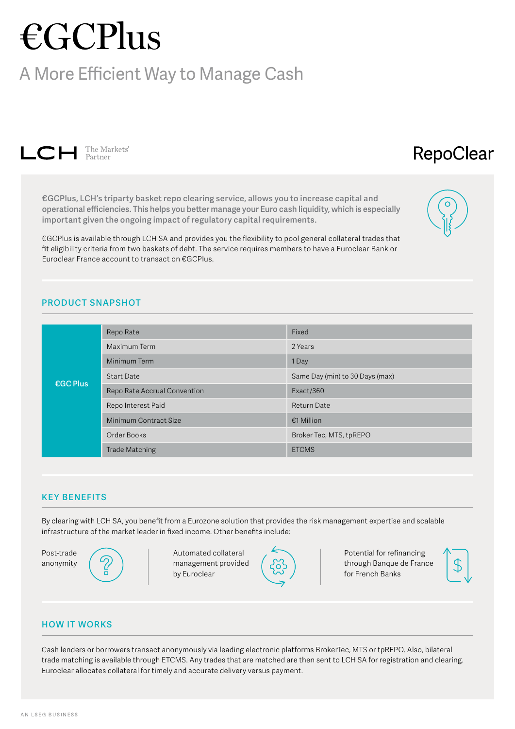# €GCPlus

## A More Efficient Way to Manage Cash



# RepoClear

**€GCPlus, LCH's triparty basket repo clearing service, allows you to increase capital and operational efficiencies. This helps you better manage your Euro cash liquidity, which is especially important given the ongoing impact of regulatory capital requirements.** 

€GCPlus is available through LCH SA and provides you the flexibility to pool general collateral trades that fit eligibility criteria from two baskets of debt. The service requires members to have a Euroclear Bank or Euroclear France account to transact on €GCPlus.



## **PRODUCT SNAPSHOT**

| <b>€GC Plus</b> | Repo Rate                    | Fixed                           |
|-----------------|------------------------------|---------------------------------|
|                 | Maximum Term                 | 2 Years                         |
|                 | Minimum Term                 | 1 Day                           |
|                 | <b>Start Date</b>            | Same Day (min) to 30 Days (max) |
|                 | Repo Rate Accrual Convention | Exact/360                       |
|                 | Repo Interest Paid           | Return Date                     |
|                 | Minimum Contract Size        | €1 Million                      |
|                 | Order Books                  | Broker Tec, MTS, tpREPO         |
|                 | <b>Trade Matching</b>        | <b>ETCMS</b>                    |

#### **KEY BENEFITS**

By clearing with LCH SA, you benefit from a Eurozone solution that provides the risk management expertise and scalable infrastructure of the market leader in fixed income. Other benefits include:

Post-trade anonymity



Automated collateral management provided by Euroclear



Potential for refinancing through Banque de France for French Banks



#### **HOW IT WORKS**

Cash lenders or borrowers transact anonymously via leading electronic platforms BrokerTec, MTS or tpREPO. Also, bilateral trade matching is available through ETCMS. Any trades that are matched are then sent to LCH SA for registration and clearing. Euroclear allocates collateral for timely and accurate delivery versus payment.